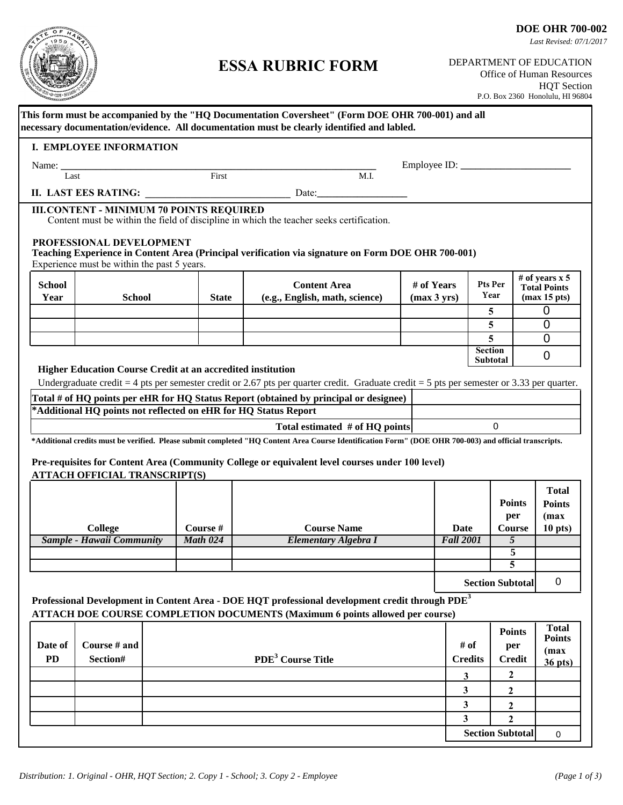

## **ESSA RUBRIC FORM**

DEPARTMENT OF EDUCATION Office of Human Resources HQT Section

|                       |                                                                         |                 |                                                                                                                                                                                                    |                           |                                                            | P.O. Box 2360 Honolulu, HI 96804 |                                        |
|-----------------------|-------------------------------------------------------------------------|-----------------|----------------------------------------------------------------------------------------------------------------------------------------------------------------------------------------------------|---------------------------|------------------------------------------------------------|----------------------------------|----------------------------------------|
|                       |                                                                         |                 | This form must be accompanied by the "HQ Documentation Coversheet" (Form DOE OHR 700-001) and all<br>necessary documentation/evidence. All documentation must be clearly identified and labled.    |                           |                                                            |                                  |                                        |
|                       | I. EMPLOYEE INFORMATION                                                 |                 |                                                                                                                                                                                                    |                           |                                                            |                                  |                                        |
|                       |                                                                         |                 |                                                                                                                                                                                                    |                           |                                                            |                                  |                                        |
|                       | Name: Last First                                                        |                 | M.I.                                                                                                                                                                                               |                           |                                                            |                                  |                                        |
|                       |                                                                         |                 | II. LAST EES RATING: Date:                                                                                                                                                                         |                           |                                                            |                                  |                                        |
|                       | <b>III.CONTENT - MINIMUM 70 POINTS REQUIRED</b>                         |                 |                                                                                                                                                                                                    |                           |                                                            |                                  |                                        |
|                       |                                                                         |                 | Content must be within the field of discipline in which the teacher seeks certification.                                                                                                           |                           |                                                            |                                  |                                        |
|                       | PROFESSIONAL DEVELOPMENT<br>Experience must be within the past 5 years. |                 | Teaching Experience in Content Area (Principal verification via signature on Form DOE OHR 700-001)                                                                                                 |                           |                                                            |                                  |                                        |
| <b>School</b><br>Year | <b>School</b>                                                           | <b>State</b>    | <b>Content Area</b><br>(e.g., English, math, science)                                                                                                                                              | # of Years<br>(max 3 yrs) | # of years $x 5$<br>Pts Per<br><b>Total Points</b><br>Year |                                  | (max 15 pts)                           |
|                       |                                                                         |                 |                                                                                                                                                                                                    |                           | 5                                                          |                                  | $\mathbf 0$                            |
|                       |                                                                         |                 |                                                                                                                                                                                                    |                           | 5                                                          |                                  | $\overline{0}$                         |
|                       |                                                                         |                 |                                                                                                                                                                                                    |                           | 5                                                          |                                  | $\overline{0}$                         |
|                       |                                                                         |                 |                                                                                                                                                                                                    |                           | <b>Section</b><br>Subtotal                                 |                                  | $\overline{0}$                         |
|                       | <b>Higher Education Course Credit at an accredited institution</b>      |                 |                                                                                                                                                                                                    |                           |                                                            |                                  |                                        |
|                       |                                                                         |                 | Undergraduate credit = 4 pts per semester credit or 2.67 pts per quarter credit. Graduate credit = 5 pts per semester or 3.33 per quarter.                                                         |                           |                                                            |                                  |                                        |
|                       |                                                                         |                 | Total # of HQ points per eHR for HQ Status Report (obtained by principal or designee)                                                                                                              |                           |                                                            |                                  |                                        |
|                       | *Additional HQ points not reflected on eHR for HQ Status Report         |                 |                                                                                                                                                                                                    |                           |                                                            |                                  |                                        |
|                       |                                                                         |                 | Total estimated # of HQ points                                                                                                                                                                     |                           | $\mathbf 0$                                                |                                  |                                        |
|                       |                                                                         |                 | *Additional credits must be verified. Please submit completed "HQ Content Area Course Identification Form" (DOE OHR 700-003) and official transcripts.                                             |                           |                                                            |                                  |                                        |
|                       | <b>ATTACH OFFICIAL TRANSCRIPT(S)</b>                                    |                 | Pre-requisites for Content Area (Community College or equivalent level courses under 100 level)                                                                                                    |                           |                                                            |                                  |                                        |
|                       |                                                                         |                 |                                                                                                                                                                                                    |                           |                                                            |                                  |                                        |
|                       |                                                                         |                 |                                                                                                                                                                                                    |                           |                                                            | <b>Points</b><br>per             | <b>Total</b><br><b>Points</b><br>(max) |
|                       | <b>College</b>                                                          | Course #        | <b>Course Name</b>                                                                                                                                                                                 | Date                      |                                                            | Course                           | $10$ pts)                              |
|                       | Sample - Hawaii Community                                               | <b>Math 024</b> | Elementary Algebra I                                                                                                                                                                               | <b>Fall 2001</b>          |                                                            | $\overline{5}$                   |                                        |
|                       |                                                                         |                 |                                                                                                                                                                                                    |                           |                                                            | 5                                |                                        |
|                       |                                                                         |                 |                                                                                                                                                                                                    |                           |                                                            | 5                                |                                        |
|                       |                                                                         |                 |                                                                                                                                                                                                    |                           | <b>Section Subtotal</b>                                    |                                  | $\mathbf 0$                            |
|                       |                                                                         |                 | Professional Development in Content Area - DOE HQT professional development credit through PDE <sup>3</sup><br><b>ATTACH DOE COURSE COMPLETION DOCUMENTS (Maximum 6 points allowed per course)</b> |                           |                                                            |                                  |                                        |
|                       |                                                                         |                 |                                                                                                                                                                                                    |                           |                                                            | <b>Points</b>                    | <b>Total</b>                           |
| Date of               | Course # and                                                            |                 |                                                                                                                                                                                                    |                           | # of                                                       | per                              | <b>Points</b>                          |
| <b>PD</b>             | Section#                                                                |                 | PDE <sup>3</sup> Course Title                                                                                                                                                                      |                           | <b>Credits</b>                                             | <b>Credit</b>                    | (max                                   |
|                       |                                                                         |                 |                                                                                                                                                                                                    | 3                         |                                                            | 2                                | $36$ pts)                              |
|                       |                                                                         |                 |                                                                                                                                                                                                    | 3                         | 2                                                          |                                  |                                        |
|                       |                                                                         |                 |                                                                                                                                                                                                    | 3                         | 2                                                          |                                  |                                        |
|                       |                                                                         |                 |                                                                                                                                                                                                    | 3                         | $\mathbf{2}$                                               |                                  |                                        |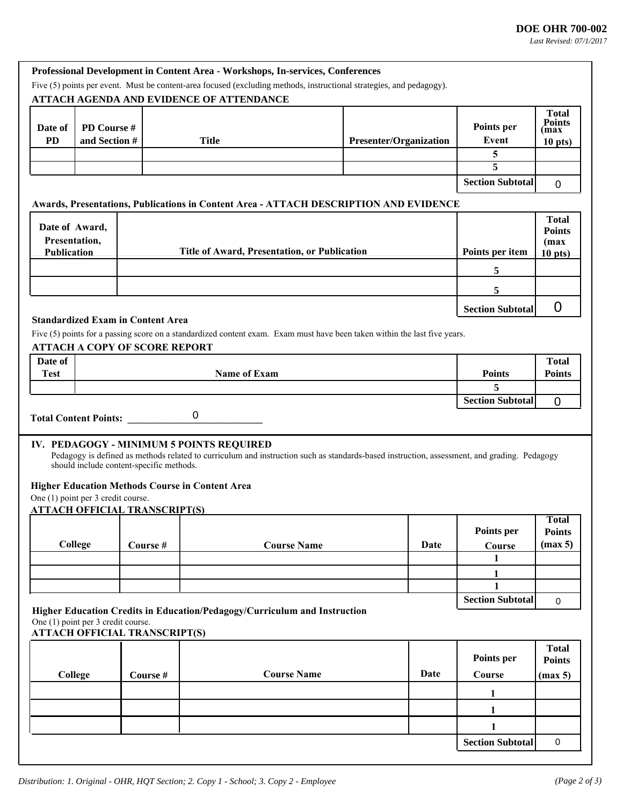*Last Revised: 07/1/2017*

| Five (5) points per event. Must be content-area focused (excluding methods, instructional strategies, and pedagogy).<br><b>ATTACH AGENDA AND EVIDENCE OF ATTENDANCE</b><br><b>Total</b><br><b>Points</b><br>Points per<br>Date of<br>PD Course #<br>max)<br><b>PD</b><br>and Section #<br><b>Title</b><br>Event<br><b>Presenter/Organization</b><br>$10$ pts)<br>5<br>5<br><b>Section Subtotal</b><br>$\mathbf 0$<br>Awards, Presentations, Publications in Content Area - ATTACH DESCRIPTION AND EVIDENCE<br><b>Total</b><br>Date of Award,<br><b>Points</b><br>Presentation,<br>(max)<br>Title of Award, Presentation, or Publication<br>Points per item<br>Publication<br>$10$ pts)<br>5<br>5<br>0<br><b>Section Subtotal</b><br><b>Standardized Exam in Content Area</b><br>Five (5) points for a passing score on a standardized content exam. Exam must have been taken within the last five years.<br><b>ATTACH A COPY OF SCORE REPORT</b><br>Date of<br><b>Total</b><br><b>Name of Exam</b><br><b>Test</b><br><b>Points</b><br><b>Points</b><br>5 |
|-----------------------------------------------------------------------------------------------------------------------------------------------------------------------------------------------------------------------------------------------------------------------------------------------------------------------------------------------------------------------------------------------------------------------------------------------------------------------------------------------------------------------------------------------------------------------------------------------------------------------------------------------------------------------------------------------------------------------------------------------------------------------------------------------------------------------------------------------------------------------------------------------------------------------------------------------------------------------------------------------------------------------------------------------------------|
|                                                                                                                                                                                                                                                                                                                                                                                                                                                                                                                                                                                                                                                                                                                                                                                                                                                                                                                                                                                                                                                           |
|                                                                                                                                                                                                                                                                                                                                                                                                                                                                                                                                                                                                                                                                                                                                                                                                                                                                                                                                                                                                                                                           |
|                                                                                                                                                                                                                                                                                                                                                                                                                                                                                                                                                                                                                                                                                                                                                                                                                                                                                                                                                                                                                                                           |
|                                                                                                                                                                                                                                                                                                                                                                                                                                                                                                                                                                                                                                                                                                                                                                                                                                                                                                                                                                                                                                                           |
|                                                                                                                                                                                                                                                                                                                                                                                                                                                                                                                                                                                                                                                                                                                                                                                                                                                                                                                                                                                                                                                           |
|                                                                                                                                                                                                                                                                                                                                                                                                                                                                                                                                                                                                                                                                                                                                                                                                                                                                                                                                                                                                                                                           |
|                                                                                                                                                                                                                                                                                                                                                                                                                                                                                                                                                                                                                                                                                                                                                                                                                                                                                                                                                                                                                                                           |
|                                                                                                                                                                                                                                                                                                                                                                                                                                                                                                                                                                                                                                                                                                                                                                                                                                                                                                                                                                                                                                                           |
|                                                                                                                                                                                                                                                                                                                                                                                                                                                                                                                                                                                                                                                                                                                                                                                                                                                                                                                                                                                                                                                           |
|                                                                                                                                                                                                                                                                                                                                                                                                                                                                                                                                                                                                                                                                                                                                                                                                                                                                                                                                                                                                                                                           |
|                                                                                                                                                                                                                                                                                                                                                                                                                                                                                                                                                                                                                                                                                                                                                                                                                                                                                                                                                                                                                                                           |
|                                                                                                                                                                                                                                                                                                                                                                                                                                                                                                                                                                                                                                                                                                                                                                                                                                                                                                                                                                                                                                                           |
|                                                                                                                                                                                                                                                                                                                                                                                                                                                                                                                                                                                                                                                                                                                                                                                                                                                                                                                                                                                                                                                           |
|                                                                                                                                                                                                                                                                                                                                                                                                                                                                                                                                                                                                                                                                                                                                                                                                                                                                                                                                                                                                                                                           |
|                                                                                                                                                                                                                                                                                                                                                                                                                                                                                                                                                                                                                                                                                                                                                                                                                                                                                                                                                                                                                                                           |
|                                                                                                                                                                                                                                                                                                                                                                                                                                                                                                                                                                                                                                                                                                                                                                                                                                                                                                                                                                                                                                                           |
|                                                                                                                                                                                                                                                                                                                                                                                                                                                                                                                                                                                                                                                                                                                                                                                                                                                                                                                                                                                                                                                           |
|                                                                                                                                                                                                                                                                                                                                                                                                                                                                                                                                                                                                                                                                                                                                                                                                                                                                                                                                                                                                                                                           |
|                                                                                                                                                                                                                                                                                                                                                                                                                                                                                                                                                                                                                                                                                                                                                                                                                                                                                                                                                                                                                                                           |
| <b>Section Subtotal</b><br>$\mathbf 0$                                                                                                                                                                                                                                                                                                                                                                                                                                                                                                                                                                                                                                                                                                                                                                                                                                                                                                                                                                                                                    |
| 0                                                                                                                                                                                                                                                                                                                                                                                                                                                                                                                                                                                                                                                                                                                                                                                                                                                                                                                                                                                                                                                         |
| <b>Total Content Points:</b>                                                                                                                                                                                                                                                                                                                                                                                                                                                                                                                                                                                                                                                                                                                                                                                                                                                                                                                                                                                                                              |
| IV. PEDAGOGY - MINIMUM 5 POINTS REQUIRED                                                                                                                                                                                                                                                                                                                                                                                                                                                                                                                                                                                                                                                                                                                                                                                                                                                                                                                                                                                                                  |
| Pedagogy is defined as methods related to curriculum and instruction such as standards-based instruction, assessment, and grading. Pedagogy<br>should include content-specific methods.                                                                                                                                                                                                                                                                                                                                                                                                                                                                                                                                                                                                                                                                                                                                                                                                                                                                   |
|                                                                                                                                                                                                                                                                                                                                                                                                                                                                                                                                                                                                                                                                                                                                                                                                                                                                                                                                                                                                                                                           |
| <b>Higher Education Methods Course in Content Area</b><br>One (1) point per 3 credit course.                                                                                                                                                                                                                                                                                                                                                                                                                                                                                                                                                                                                                                                                                                                                                                                                                                                                                                                                                              |
| <b>ATTACH OFFICIAL TRANSCRIPT(S)</b>                                                                                                                                                                                                                                                                                                                                                                                                                                                                                                                                                                                                                                                                                                                                                                                                                                                                                                                                                                                                                      |
| <b>Total</b>                                                                                                                                                                                                                                                                                                                                                                                                                                                                                                                                                                                                                                                                                                                                                                                                                                                                                                                                                                                                                                              |
| Points per<br><b>Points</b>                                                                                                                                                                                                                                                                                                                                                                                                                                                                                                                                                                                                                                                                                                                                                                                                                                                                                                                                                                                                                               |
| College<br>(max 5)<br><b>Course Name</b><br>Date<br>Course #<br>Course<br>1                                                                                                                                                                                                                                                                                                                                                                                                                                                                                                                                                                                                                                                                                                                                                                                                                                                                                                                                                                               |
|                                                                                                                                                                                                                                                                                                                                                                                                                                                                                                                                                                                                                                                                                                                                                                                                                                                                                                                                                                                                                                                           |
| 1<br>1                                                                                                                                                                                                                                                                                                                                                                                                                                                                                                                                                                                                                                                                                                                                                                                                                                                                                                                                                                                                                                                    |
| <b>Section Subtotal</b><br>$\mathbf 0$                                                                                                                                                                                                                                                                                                                                                                                                                                                                                                                                                                                                                                                                                                                                                                                                                                                                                                                                                                                                                    |
| Higher Education Credits in Education/Pedagogy/Curriculum and Instruction                                                                                                                                                                                                                                                                                                                                                                                                                                                                                                                                                                                                                                                                                                                                                                                                                                                                                                                                                                                 |
| One (1) point per 3 credit course.<br><b>ATTACH OFFICIAL TRANSCRIPT(S)</b>                                                                                                                                                                                                                                                                                                                                                                                                                                                                                                                                                                                                                                                                                                                                                                                                                                                                                                                                                                                |
|                                                                                                                                                                                                                                                                                                                                                                                                                                                                                                                                                                                                                                                                                                                                                                                                                                                                                                                                                                                                                                                           |
| <b>Total</b><br>Points per<br><b>Points</b>                                                                                                                                                                                                                                                                                                                                                                                                                                                                                                                                                                                                                                                                                                                                                                                                                                                                                                                                                                                                               |
| <b>Course Name</b><br><b>Date</b><br>Course<br>College<br>Course #<br>(max 5)                                                                                                                                                                                                                                                                                                                                                                                                                                                                                                                                                                                                                                                                                                                                                                                                                                                                                                                                                                             |
| 1                                                                                                                                                                                                                                                                                                                                                                                                                                                                                                                                                                                                                                                                                                                                                                                                                                                                                                                                                                                                                                                         |
| 1                                                                                                                                                                                                                                                                                                                                                                                                                                                                                                                                                                                                                                                                                                                                                                                                                                                                                                                                                                                                                                                         |
|                                                                                                                                                                                                                                                                                                                                                                                                                                                                                                                                                                                                                                                                                                                                                                                                                                                                                                                                                                                                                                                           |
| 1                                                                                                                                                                                                                                                                                                                                                                                                                                                                                                                                                                                                                                                                                                                                                                                                                                                                                                                                                                                                                                                         |
| <b>Section Subtotal</b><br>$\mathbf 0$                                                                                                                                                                                                                                                                                                                                                                                                                                                                                                                                                                                                                                                                                                                                                                                                                                                                                                                                                                                                                    |